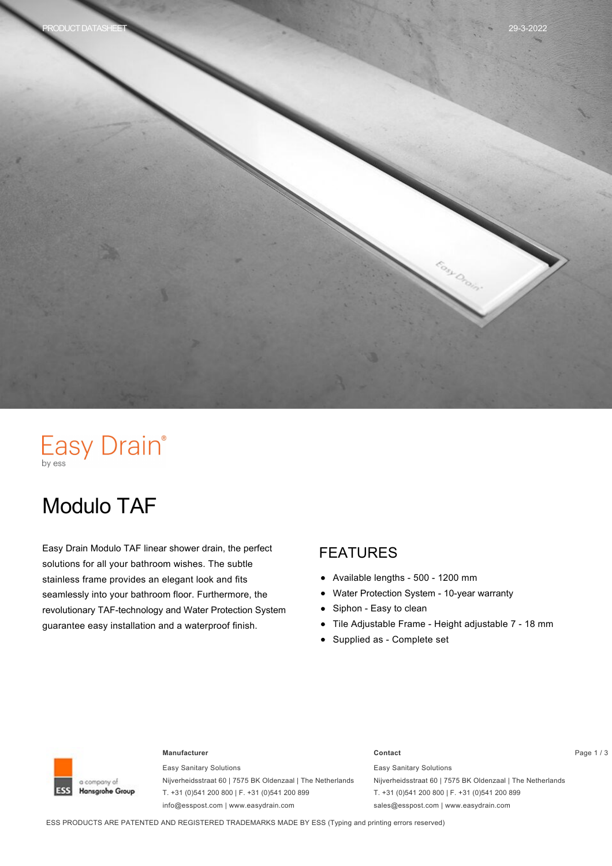

# Easy Drain®

# Modulo TAF

Easy Drain Modulo TAF linear shower drain, the perfect solutions for all your bathroom wishes. The subtle stainless frame provides an elegant look and fits seamlessly into your bathroom floor. Furthermore, the revolutionary TAF-technology and Water Protection System guarantee easy installation and a waterproof finish.

### FEATURES

- $\bullet$ Available lengths - 500 - 1200 mm
- Water Protection System 10-year warranty  $\bullet$
- Siphon Easy to clean  $\bullet$
- Tile Adjustable Frame Height adjustable 7 18 mm  $\bullet$
- Supplied as Complete set



#### **Manufacturer Contact** Page 1 / 3

Easy Sanitary Solutions Nijverheidsstraat 60 | 7575 BK Oldenzaal | The Netherlands T. +31 (0)541 200 800 | F. +31 (0)541 200 899 info@esspost.com | www.easydrain.com

Easy Sanitary Solutions Nijverheidsstraat 60 | 7575 BK Oldenzaal | The Netherlands T. +31 (0)541 200 800 | F. +31 (0)541 200 899 sales@esspost.com | www.easydrain.com

ESS PRODUCTS ARE PATENTED AND REGISTERED TRADEMARKS MADE BY ESS (Typing and printing errors reserved)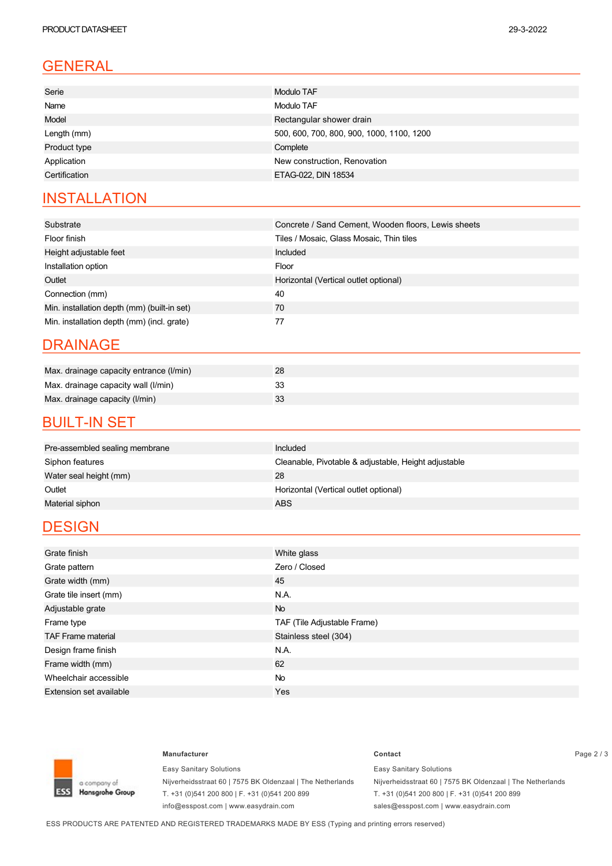## GENERAL

| Serie         | Modulo TAF                                |
|---------------|-------------------------------------------|
| Name          | Modulo TAF                                |
| Model         | Rectangular shower drain                  |
| Length (mm)   | 500, 600, 700, 800, 900, 1000, 1100, 1200 |
| Product type  | Complete                                  |
| Application   | New construction, Renovation              |
| Certification | ETAG-022, DIN 18534                       |
|               |                                           |

#### **INSTALLATION**

| Substrate                                   | Concrete / Sand Cement, Wooden floors, Lewis sheets |  |
|---------------------------------------------|-----------------------------------------------------|--|
| Floor finish                                | Tiles / Mosaic, Glass Mosaic, Thin tiles            |  |
| Height adjustable feet                      | Included                                            |  |
| Installation option                         | Floor                                               |  |
| Outlet                                      | Horizontal (Vertical outlet optional)               |  |
| Connection (mm)                             | 40                                                  |  |
| Min. installation depth (mm) (built-in set) | 70                                                  |  |
| Min. installation depth (mm) (incl. grate)  | 77                                                  |  |

#### DRAINAGE

| Max. drainage capacity entrance (I/min) | 28 |
|-----------------------------------------|----|
| Max. drainage capacity wall (I/min)     |    |
| Max. drainage capacity (I/min)          | 33 |

#### **BUILT-IN SET**

| Pre-assembled sealing membrane | Included                                             |
|--------------------------------|------------------------------------------------------|
| Siphon features                | Cleanable, Pivotable & adjustable, Height adjustable |
| Water seal height (mm)         | 28                                                   |
| Outlet                         | Horizontal (Vertical outlet optional)                |
| Material siphon                | ABS.                                                 |
|                                |                                                      |

### **DESIGN**

| Grate finish                   | White glass                 |  |
|--------------------------------|-----------------------------|--|
| Grate pattern                  | Zero / Closed               |  |
| Grate width (mm)               | 45                          |  |
| Grate tile insert (mm)         | N.A.                        |  |
| Adjustable grate               | <b>No</b>                   |  |
| Frame type                     | TAF (Tile Adjustable Frame) |  |
| <b>TAF Frame material</b>      | Stainless steel (304)       |  |
| Design frame finish            | N.A.                        |  |
| Frame width (mm)               | 62                          |  |
| Wheelchair accessible          | <b>No</b>                   |  |
| <b>Extension set available</b> | Yes                         |  |



Easy Sanitary Solutions Nijverheidsstraat 60 | 7575 BK Oldenzaal | The Netherlands T. +31 (0)541 200 800 | F. +31 (0)541 200 899 info@esspost.com | www.easydrain.com

#### **Manufacturer Contact** Page 2 / 3 Easy Sanitary Solutions Nijverheidsstraat 60 | 7575 BK Oldenzaal | The Netherlands T. +31 (0)541 200 800 | F. +31 (0)541 200 899

sales@esspost.com | www.easydrain.com

ESS PRODUCTS ARE PATENTED AND REGISTERED TRADEMARKS MADE BY ESS (Typing and printing errors reserved)